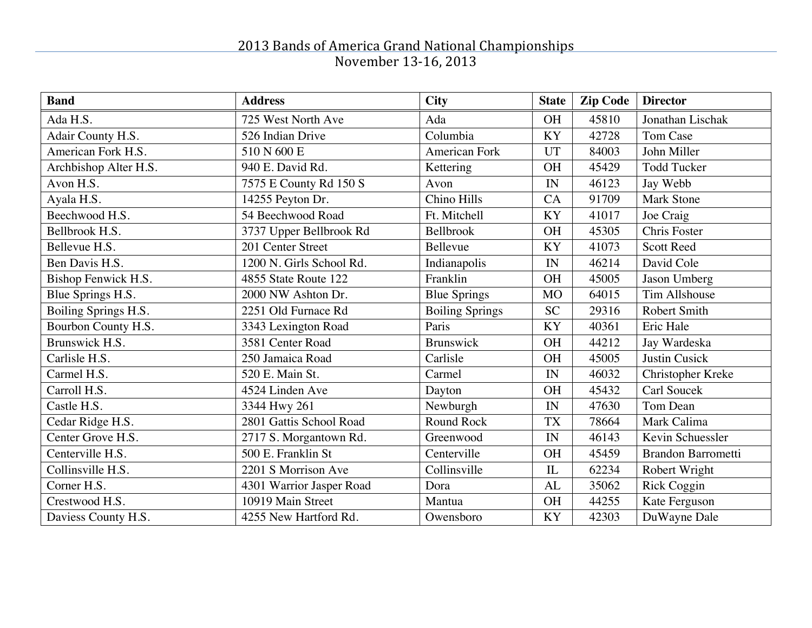| <b>Band</b>           | <b>Address</b>           | <b>City</b>            | <b>State</b> | <b>Zip Code</b> | <b>Director</b>           |
|-----------------------|--------------------------|------------------------|--------------|-----------------|---------------------------|
| Ada H.S.              | 725 West North Ave       | Ada                    | <b>OH</b>    | 45810           | Jonathan Lischak          |
| Adair County H.S.     | 526 Indian Drive         | Columbia               | <b>KY</b>    | 42728           | Tom Case                  |
| American Fork H.S.    | 510 N 600 E              | American Fork          | UT           | 84003           | John Miller               |
| Archbishop Alter H.S. | 940 E. David Rd.         | Kettering              | <b>OH</b>    | 45429           | <b>Todd Tucker</b>        |
| Avon H.S.             | 7575 E County Rd 150 S   | Avon                   | IN           | 46123           | Jay Webb                  |
| Ayala H.S.            | 14255 Peyton Dr.         | Chino Hills            | CA           | 91709           | <b>Mark Stone</b>         |
| Beechwood H.S.        | 54 Beechwood Road        | Ft. Mitchell           | <b>KY</b>    | 41017           | Joe Craig                 |
| Bellbrook H.S.        | 3737 Upper Bellbrook Rd  | Bellbrook              | <b>OH</b>    | 45305           | Chris Foster              |
| Bellevue H.S.         | 201 Center Street        | Bellevue               | KY           | 41073           | <b>Scott Reed</b>         |
| Ben Davis H.S.        | 1200 N. Girls School Rd. | Indianapolis           | IN           | 46214           | David Cole                |
| Bishop Fenwick H.S.   | 4855 State Route 122     | Franklin               | <b>OH</b>    | 45005           | Jason Umberg              |
| Blue Springs H.S.     | 2000 NW Ashton Dr.       | <b>Blue Springs</b>    | <b>MO</b>    | 64015           | Tim Allshouse             |
| Boiling Springs H.S.  | 2251 Old Furnace Rd      | <b>Boiling Springs</b> | <b>SC</b>    | 29316           | Robert Smith              |
| Bourbon County H.S.   | 3343 Lexington Road      | Paris                  | <b>KY</b>    | 40361           | Eric Hale                 |
| Brunswick H.S.        | 3581 Center Road         | <b>Brunswick</b>       | <b>OH</b>    | 44212           | Jay Wardeska              |
| Carlisle H.S.         | 250 Jamaica Road         | Carlisle               | <b>OH</b>    | 45005           | <b>Justin Cusick</b>      |
| Carmel H.S.           | 520 E. Main St.          | Carmel                 | IN           | 46032           | Christopher Kreke         |
| Carroll H.S.          | 4524 Linden Ave          | Dayton                 | <b>OH</b>    | 45432           | Carl Soucek               |
| Castle H.S.           | 3344 Hwy 261             | Newburgh               | IN           | 47630           | Tom Dean                  |
| Cedar Ridge H.S.      | 2801 Gattis School Road  | Round Rock             | <b>TX</b>    | 78664           | Mark Calima               |
| Center Grove H.S.     | 2717 S. Morgantown Rd.   | Greenwood              | IN           | 46143           | Kevin Schuessler          |
| Centerville H.S.      | 500 E. Franklin St       | Centerville            | <b>OH</b>    | 45459           | <b>Brandon Barrometti</b> |
| Collinsville H.S.     | 2201 S Morrison Ave      | Collinsville           | IL           | 62234           | Robert Wright             |
| Corner H.S.           | 4301 Warrior Jasper Road | Dora                   | AL           | 35062           | <b>Rick Coggin</b>        |
| Crestwood H.S.        | 10919 Main Street        | Mantua                 | <b>OH</b>    | 44255           | Kate Ferguson             |
| Daviess County H.S.   | 4255 New Hartford Rd.    | Owensboro              | <b>KY</b>    | 42303           | DuWayne Dale              |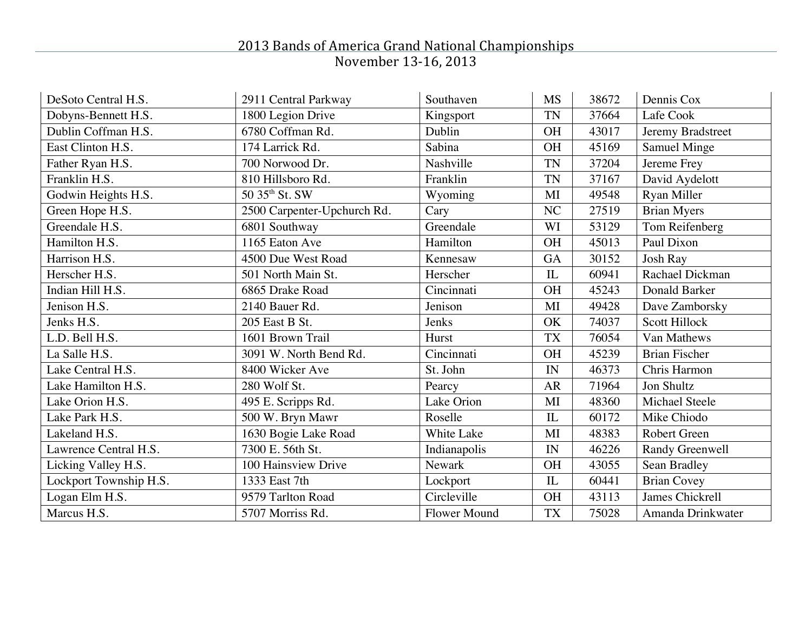| DeSoto Central H.S.    | 2911 Central Parkway        | Southaven           | <b>MS</b>    | 38672 | Dennis Cox           |
|------------------------|-----------------------------|---------------------|--------------|-------|----------------------|
| Dobyns-Bennett H.S.    | 1800 Legion Drive           | Kingsport           | <b>TN</b>    | 37664 | Lafe Cook            |
| Dublin Coffman H.S.    | 6780 Coffman Rd.            | Dublin              | <b>OH</b>    | 43017 | Jeremy Bradstreet    |
| East Clinton H.S.      | 174 Larrick Rd.             | Sabina              | <b>OH</b>    | 45169 | <b>Samuel Minge</b>  |
| Father Ryan H.S.       | 700 Norwood Dr.             | Nashville           | <b>TN</b>    | 37204 | Jereme Frey          |
| Franklin H.S.          | 810 Hillsboro Rd.           | Franklin            | <b>TN</b>    | 37167 | David Aydelott       |
| Godwin Heights H.S.    | 50 35 <sup>th</sup> St. SW  | Wyoming             | MI           | 49548 | Ryan Miller          |
| Green Hope H.S.        | 2500 Carpenter-Upchurch Rd. | Cary                | NC           | 27519 | <b>Brian Myers</b>   |
| Greendale H.S.         | 6801 Southway               | Greendale           | WI           | 53129 | Tom Reifenberg       |
| Hamilton H.S.          | 1165 Eaton Ave              | Hamilton            | <b>OH</b>    | 45013 | Paul Dixon           |
| Harrison H.S.          | 4500 Due West Road          | Kennesaw            | <b>GA</b>    | 30152 | <b>Josh Ray</b>      |
| Herscher H.S.          | 501 North Main St.          | Herscher            | $\mathbf{I}$ | 60941 | Rachael Dickman      |
| Indian Hill H.S.       | 6865 Drake Road             | Cincinnati          | <b>OH</b>    | 45243 | Donald Barker        |
| Jenison H.S.           | 2140 Bauer Rd.              | Jenison             | MI           | 49428 | Dave Zamborsky       |
| Jenks H.S.             | 205 East B St.              | Jenks               | OK           | 74037 | <b>Scott Hillock</b> |
| L.D. Bell H.S.         | 1601 Brown Trail            | Hurst               | <b>TX</b>    | 76054 | Van Mathews          |
| La Salle H.S.          | 3091 W. North Bend Rd.      | Cincinnati          | <b>OH</b>    | 45239 | <b>Brian Fischer</b> |
| Lake Central H.S.      | 8400 Wicker Ave             | St. John            | IN           | 46373 | Chris Harmon         |
| Lake Hamilton H.S.     | 280 Wolf St.                | Pearcy              | <b>AR</b>    | 71964 | Jon Shultz           |
| Lake Orion H.S.        | 495 E. Scripps Rd.          | Lake Orion          | MI           | 48360 | Michael Steele       |
| Lake Park H.S.         | 500 W. Bryn Mawr            | Roselle             | IL           | 60172 | Mike Chiodo          |
| Lakeland H.S.          | 1630 Bogie Lake Road        | White Lake          | MI           | 48383 | Robert Green         |
| Lawrence Central H.S.  | 7300 E. 56th St.            | Indianapolis        | IN           | 46226 | Randy Greenwell      |
| Licking Valley H.S.    | 100 Hainsview Drive         | <b>Newark</b>       | <b>OH</b>    | 43055 | Sean Bradley         |
| Lockport Township H.S. | 1333 East 7th               | Lockport            | IL           | 60441 | <b>Brian Covey</b>   |
| Logan Elm H.S.         | 9579 Tarlton Road           | Circleville         | <b>OH</b>    | 43113 | James Chickrell      |
| Marcus H.S.            | 5707 Morriss Rd.            | <b>Flower Mound</b> | <b>TX</b>    | 75028 | Amanda Drinkwater    |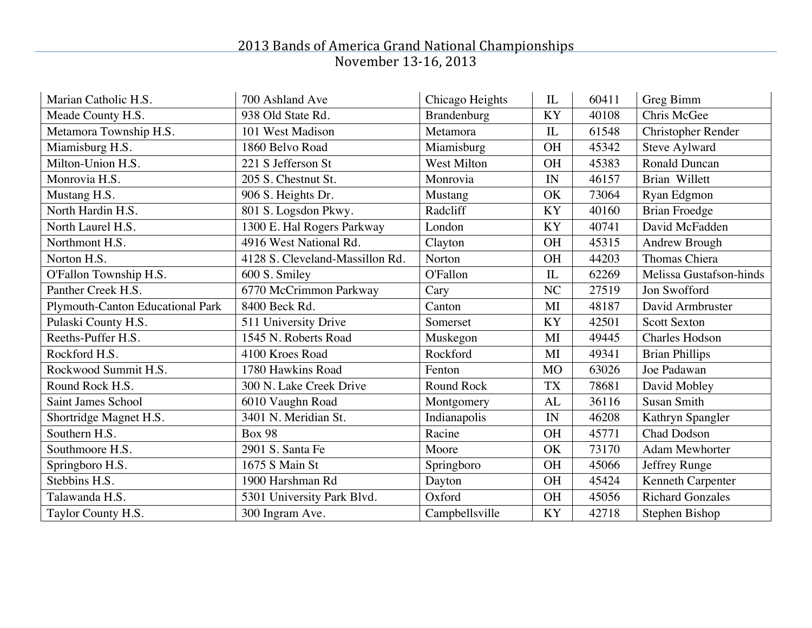| Marian Catholic H.S.             | 700 Ashland Ave                 | Chicago Heights    | IL        | 60411 | Greg Bimm                 |
|----------------------------------|---------------------------------|--------------------|-----------|-------|---------------------------|
| Meade County H.S.                | 938 Old State Rd.               | Brandenburg        | KY        | 40108 | Chris McGee               |
| Metamora Township H.S.           | 101 West Madison                | Metamora           | IL        | 61548 | <b>Christopher Render</b> |
| Miamisburg H.S.                  | 1860 Belvo Road                 | Miamisburg         | <b>OH</b> | 45342 | Steve Aylward             |
| Milton-Union H.S.                | 221 S Jefferson St              | <b>West Milton</b> | <b>OH</b> | 45383 | <b>Ronald Duncan</b>      |
| Monrovia H.S.                    | 205 S. Chestnut St.             | Monrovia           | IN        | 46157 | Brian Willett             |
| Mustang H.S.                     | 906 S. Heights Dr.              | <b>Mustang</b>     | OK        | 73064 | Ryan Edgmon               |
| North Hardin H.S.                | 801 S. Logsdon Pkwy.            | Radcliff           | <b>KY</b> | 40160 | <b>Brian Froedge</b>      |
| North Laurel H.S.                | 1300 E. Hal Rogers Parkway      | London             | <b>KY</b> | 40741 | David McFadden            |
| Northmont H.S.                   | 4916 West National Rd.          | Clayton            | <b>OH</b> | 45315 | Andrew Brough             |
| Norton H.S.                      | 4128 S. Cleveland-Massillon Rd. | Norton             | <b>OH</b> | 44203 | Thomas Chiera             |
| O'Fallon Township H.S.           | 600 S. Smiley                   | O'Fallon           | IL        | 62269 | Melissa Gustafson-hinds   |
| Panther Creek H.S.               | 6770 McCrimmon Parkway          | Cary               | NC        | 27519 | Jon Swofford              |
| Plymouth-Canton Educational Park | 8400 Beck Rd.                   | Canton             | MI        | 48187 | David Armbruster          |
| Pulaski County H.S.              | 511 University Drive            | Somerset           | <b>KY</b> | 42501 | <b>Scott Sexton</b>       |
| Reeths-Puffer H.S.               | 1545 N. Roberts Road            | Muskegon           | MI        | 49445 | <b>Charles Hodson</b>     |
| Rockford H.S.                    | 4100 Kroes Road                 | Rockford           | MI        | 49341 | <b>Brian Phillips</b>     |
| Rockwood Summit H.S.             | 1780 Hawkins Road               | Fenton             | <b>MO</b> | 63026 | Joe Padawan               |
| Round Rock H.S.                  | 300 N. Lake Creek Drive         | Round Rock         | <b>TX</b> | 78681 | David Mobley              |
| Saint James School               | 6010 Vaughn Road                | Montgomery         | AL        | 36116 | <b>Susan Smith</b>        |
| Shortridge Magnet H.S.           | 3401 N. Meridian St.            | Indianapolis       | IN        | 46208 | Kathryn Spangler          |
| Southern H.S.                    | <b>Box 98</b>                   | Racine             | <b>OH</b> | 45771 | <b>Chad Dodson</b>        |
| Southmoore H.S.                  | 2901 S. Santa Fe                | Moore              | OK        | 73170 | <b>Adam Mewhorter</b>     |
| Springboro H.S.                  | 1675 S Main St                  | Springboro         | <b>OH</b> | 45066 | Jeffrey Runge             |
| Stebbins H.S.                    | 1900 Harshman Rd                | Dayton             | <b>OH</b> | 45424 | Kenneth Carpenter         |
| Talawanda H.S.                   | 5301 University Park Blvd.      | Oxford             | <b>OH</b> | 45056 | <b>Richard Gonzales</b>   |
| Taylor County H.S.               | 300 Ingram Ave.                 | Campbellsville     | KY        | 42718 | Stephen Bishop            |